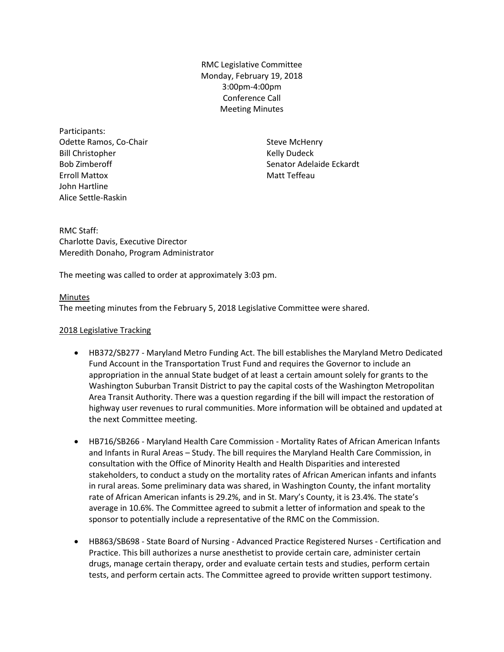RMC Legislative Committee Monday, February 19, 2018 3:00pm-4:00pm Conference Call Meeting Minutes

Participants: Odette Ramos, Co-Chair Bill Christopher Bob Zimberoff Erroll Mattox John Hartline Alice Settle-Raskin

Steve McHenry Kelly Dudeck Senator Adelaide Eckardt Matt Teffeau

RMC Staff: Charlotte Davis, Executive Director Meredith Donaho, Program Administrator

The meeting was called to order at approximately 3:03 pm.

# Minutes

The meeting minutes from the February 5, 2018 Legislative Committee were shared.

# 2018 Legislative Tracking

- HB372/SB277 Maryland Metro Funding Act. The bill establishes the Maryland Metro Dedicated Fund Account in the Transportation Trust Fund and requires the Governor to include an appropriation in the annual State budget of at least a certain amount solely for grants to the Washington Suburban Transit District to pay the capital costs of the Washington Metropolitan Area Transit Authority. There was a question regarding if the bill will impact the restoration of highway user revenues to rural communities. More information will be obtained and updated at the next Committee meeting.
- HB716/SB266 Maryland Health Care Commission Mortality Rates of African American Infants and Infants in Rural Areas – Study. The bill requires the Maryland Health Care Commission, in consultation with the Office of Minority Health and Health Disparities and interested stakeholders, to conduct a study on the mortality rates of African American infants and infants in rural areas. Some preliminary data was shared, in Washington County, the infant mortality rate of African American infants is 29.2%, and in St. Mary's County, it is 23.4%. The state's average in 10.6%. The Committee agreed to submit a letter of information and speak to the sponsor to potentially include a representative of the RMC on the Commission.
- HB863/SB698 State Board of Nursing Advanced Practice Registered Nurses Certification and Practice. This bill authorizes a nurse anesthetist to provide certain care, administer certain drugs, manage certain therapy, order and evaluate certain tests and studies, perform certain tests, and perform certain acts. The Committee agreed to provide written support testimony.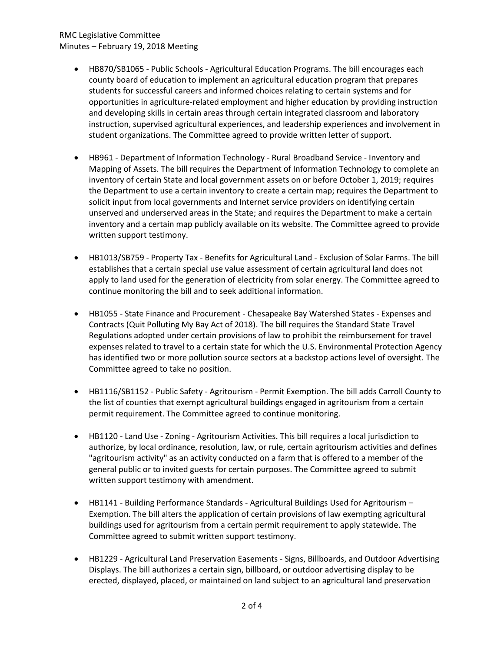# RMC Legislative Committee Minutes – February 19, 2018 Meeting

- HB870/SB1065 Public Schools Agricultural Education Programs. The bill encourages each county board of education to implement an agricultural education program that prepares students for successful careers and informed choices relating to certain systems and for opportunities in agriculture-related employment and higher education by providing instruction and developing skills in certain areas through certain integrated classroom and laboratory instruction, supervised agricultural experiences, and leadership experiences and involvement in student organizations. The Committee agreed to provide written letter of support.
- HB961 Department of Information Technology Rural Broadband Service Inventory and Mapping of Assets. The bill requires the Department of Information Technology to complete an inventory of certain State and local government assets on or before October 1, 2019; requires the Department to use a certain inventory to create a certain map; requires the Department to solicit input from local governments and Internet service providers on identifying certain unserved and underserved areas in the State; and requires the Department to make a certain inventory and a certain map publicly available on its website. The Committee agreed to provide written support testimony.
- HB1013/SB759 Property Tax Benefits for Agricultural Land Exclusion of Solar Farms. The bill establishes that a certain special use value assessment of certain agricultural land does not apply to land used for the generation of electricity from solar energy. The Committee agreed to continue monitoring the bill and to seek additional information.
- HB1055 State Finance and Procurement Chesapeake Bay Watershed States Expenses and Contracts (Quit Polluting My Bay Act of 2018). The bill requires the Standard State Travel Regulations adopted under certain provisions of law to prohibit the reimbursement for travel expenses related to travel to a certain state for which the U.S. Environmental Protection Agency has identified two or more pollution source sectors at a backstop actions level of oversight. The Committee agreed to take no position.
- HB1116/SB1152 Public Safety Agritourism Permit Exemption. The bill adds Carroll County to the list of counties that exempt agricultural buildings engaged in agritourism from a certain permit requirement. The Committee agreed to continue monitoring.
- HB1120 Land Use Zoning Agritourism Activities. This bill requires a local jurisdiction to authorize, by local ordinance, resolution, law, or rule, certain agritourism activities and defines "agritourism activity" as an activity conducted on a farm that is offered to a member of the general public or to invited guests for certain purposes. The Committee agreed to submit written support testimony with amendment.
- HB1141 Building Performance Standards Agricultural Buildings Used for Agritourism Exemption. The bill alters the application of certain provisions of law exempting agricultural buildings used for agritourism from a certain permit requirement to apply statewide. The Committee agreed to submit written support testimony.
- HB1229 Agricultural Land Preservation Easements Signs, Billboards, and Outdoor Advertising Displays. The bill authorizes a certain sign, billboard, or outdoor advertising display to be erected, displayed, placed, or maintained on land subject to an agricultural land preservation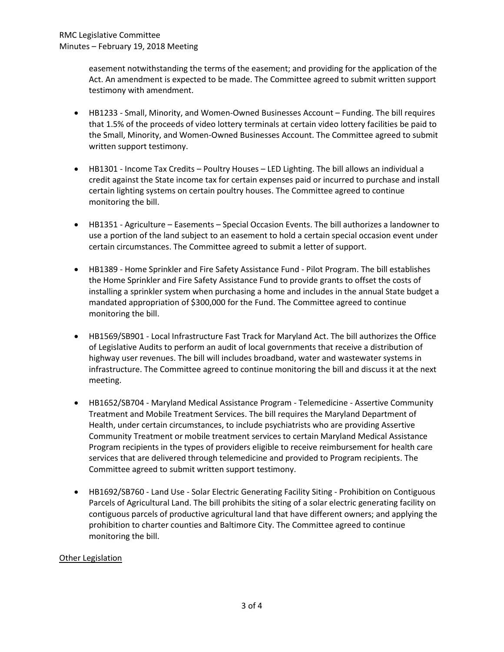easement notwithstanding the terms of the easement; and providing for the application of the Act. An amendment is expected to be made. The Committee agreed to submit written support testimony with amendment.

- HB1233 Small, Minority, and Women-Owned Businesses Account Funding. The bill requires that 1.5% of the proceeds of video lottery terminals at certain video lottery facilities be paid to the Small, Minority, and Women-Owned Businesses Account. The Committee agreed to submit written support testimony.
- HB1301 Income Tax Credits Poultry Houses LED Lighting. The bill allows an individual a credit against the State income tax for certain expenses paid or incurred to purchase and install certain lighting systems on certain poultry houses. The Committee agreed to continue monitoring the bill.
- HB1351 Agriculture Easements Special Occasion Events. The bill authorizes a landowner to use a portion of the land subject to an easement to hold a certain special occasion event under certain circumstances. The Committee agreed to submit a letter of support.
- HB1389 Home Sprinkler and Fire Safety Assistance Fund Pilot Program. The bill establishes the Home Sprinkler and Fire Safety Assistance Fund to provide grants to offset the costs of installing a sprinkler system when purchasing a home and includes in the annual State budget a mandated appropriation of \$300,000 for the Fund. The Committee agreed to continue monitoring the bill.
- HB1569/SB901 Local Infrastructure Fast Track for Maryland Act. The bill authorizes the Office of Legislative Audits to perform an audit of local governments that receive a distribution of highway user revenues. The bill will includes broadband, water and wastewater systems in infrastructure. The Committee agreed to continue monitoring the bill and discuss it at the next meeting.
- HB1652/SB704 Maryland Medical Assistance Program Telemedicine Assertive Community Treatment and Mobile Treatment Services. The bill requires the Maryland Department of Health, under certain circumstances, to include psychiatrists who are providing Assertive Community Treatment or mobile treatment services to certain Maryland Medical Assistance Program recipients in the types of providers eligible to receive reimbursement for health care services that are delivered through telemedicine and provided to Program recipients. The Committee agreed to submit written support testimony.
- HB1692/SB760 Land Use Solar Electric Generating Facility Siting Prohibition on Contiguous Parcels of Agricultural Land. The bill prohibits the siting of a solar electric generating facility on contiguous parcels of productive agricultural land that have different owners; and applying the prohibition to charter counties and Baltimore City. The Committee agreed to continue monitoring the bill.

# Other Legislation